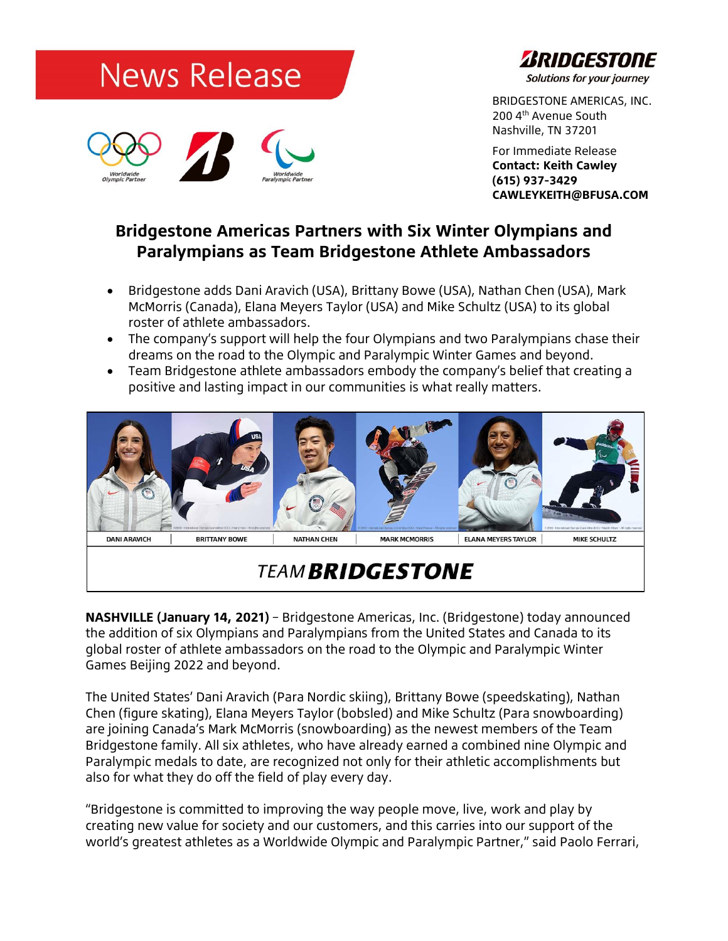



BRIDGESTONE AMERICAS, INC. 200 4th Avenue South Nashville, TN 37201

For Immediate Release **Contact: Keith Cawley (615) 937-3429 CAWLEYKEITH@BFUSA.COM**

## **Bridgestone Americas Partners with Six Winter Olympians and Paralympians as Team Bridgestone Athlete Ambassadors**

- Bridgestone adds Dani Aravich (USA), Brittany Bowe (USA), Nathan Chen (USA), Mark McMorris (Canada), Elana Meyers Taylor (USA) and Mike Schultz (USA) to its global roster of athlete ambassadors.
- The company's support will help the four Olympians and two Paralympians chase their dreams on the road to the Olympic and Paralympic Winter Games and beyond.
- Team Bridgestone athlete ambassadors embody the company's belief that creating a positive and lasting impact in our communities is what really matters.



# **TEAM BRIDGESTONE**

**NASHVILLE (January 14, 2021)** – Bridgestone Americas, Inc. (Bridgestone) today announced the addition of six Olympians and Paralympians from the United States and Canada to its global roster of athlete ambassadors on the road to the Olympic and Paralympic Winter Games Beijing 2022 and beyond.

The United States' Dani Aravich (Para Nordic skiing), Brittany Bowe (speedskating), Nathan Chen (figure skating), Elana Meyers Taylor (bobsled) and Mike Schultz (Para snowboarding) are joining Canada's Mark McMorris (snowboarding) as the newest members of the Team Bridgestone family. All six athletes, who have already earned a combined nine Olympic and Paralympic medals to date, are recognized not only for their athletic accomplishments but also for what they do off the field of play every day.

"Bridgestone is committed to improving the way people move, live, work and play by creating new value for society and our customers, and this carries into our support of the world's greatest athletes as a Worldwide Olympic and Paralympic Partner," said Paolo Ferrari,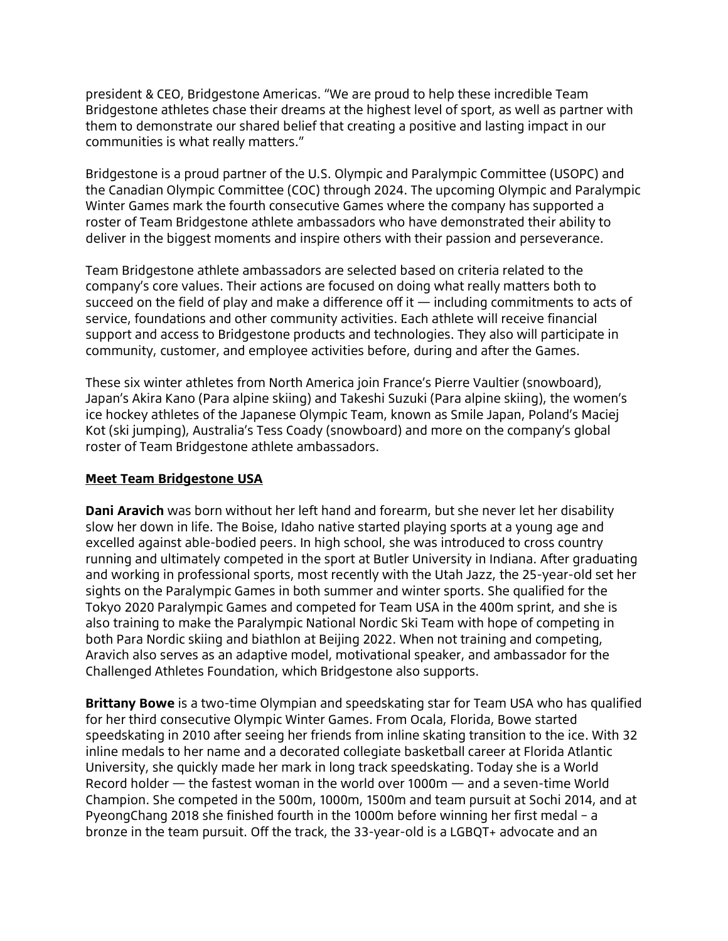president & CEO, Bridgestone Americas. "We are proud to help these incredible Team Bridgestone athletes chase their dreams at the highest level of sport, as well as partner with them to demonstrate our shared belief that creating a positive and lasting impact in our communities is what really matters."

Bridgestone is a proud partner of the U.S. Olympic and Paralympic Committee (USOPC) and the Canadian Olympic Committee (COC) through 2024. The upcoming Olympic and Paralympic Winter Games mark the fourth consecutive Games where the company has supported a roster of Team Bridgestone athlete ambassadors who have demonstrated their ability to deliver in the biggest moments and inspire others with their passion and perseverance.

Team Bridgestone athlete ambassadors are selected based on criteria related to the company's core values. Their actions are focused on doing what really matters both to succeed on the field of play and make a difference off it  $-$  including commitments to acts of service, foundations and other community activities. Each athlete will receive financial support and access to Bridgestone products and technologies. They also will participate in community, customer, and employee activities before, during and after the Games.

These six winter athletes from North America join France's Pierre Vaultier (snowboard), Japan's Akira Kano (Para alpine skiing) and Takeshi Suzuki (Para alpine skiing), the women's ice hockey athletes of the Japanese Olympic Team, known as Smile Japan, Poland's Maciej Kot (ski jumping), Australia's Tess Coady (snowboard) and more on the company's global roster of Team Bridgestone athlete ambassadors.

### **Meet Team Bridgestone USA**

**Dani Aravich** was born without her left hand and forearm, but she never let her disability slow her down in life. The Boise, Idaho native started playing sports at a young age and excelled against able-bodied peers. In high school, she was introduced to cross country running and ultimately competed in the sport at Butler University in Indiana. After graduating and working in professional sports, most recently with the Utah Jazz, the 25-year-old set her sights on the Paralympic Games in both summer and winter sports. She qualified for the Tokyo 2020 Paralympic Games and competed for Team USA in the 400m sprint, and she is also training to make the Paralympic National Nordic Ski Team with hope of competing in both Para Nordic skiing and biathlon at Beijing 2022. When not training and competing, Aravich also serves as an adaptive model, motivational speaker, and ambassador for the Challenged Athletes Foundation, which Bridgestone also supports.

**Brittany Bowe** is a two-time Olympian and speedskating star for Team USA who has qualified for her third consecutive Olympic Winter Games. From Ocala, Florida, Bowe started speedskating in 2010 after seeing her friends from inline skating transition to the ice. With 32 inline medals to her name and a decorated collegiate basketball career at Florida Atlantic University, she quickly made her mark in long track speedskating. Today she is a World Record holder — the fastest woman in the world over 1000m — and a seven-time World Champion. She competed in the 500m, 1000m, 1500m and team pursuit at Sochi 2014, and at PyeongChang 2018 she finished fourth in the 1000m before winning her first medal – a bronze in the team pursuit. Off the track, the 33-year-old is a LGBQT+ advocate and an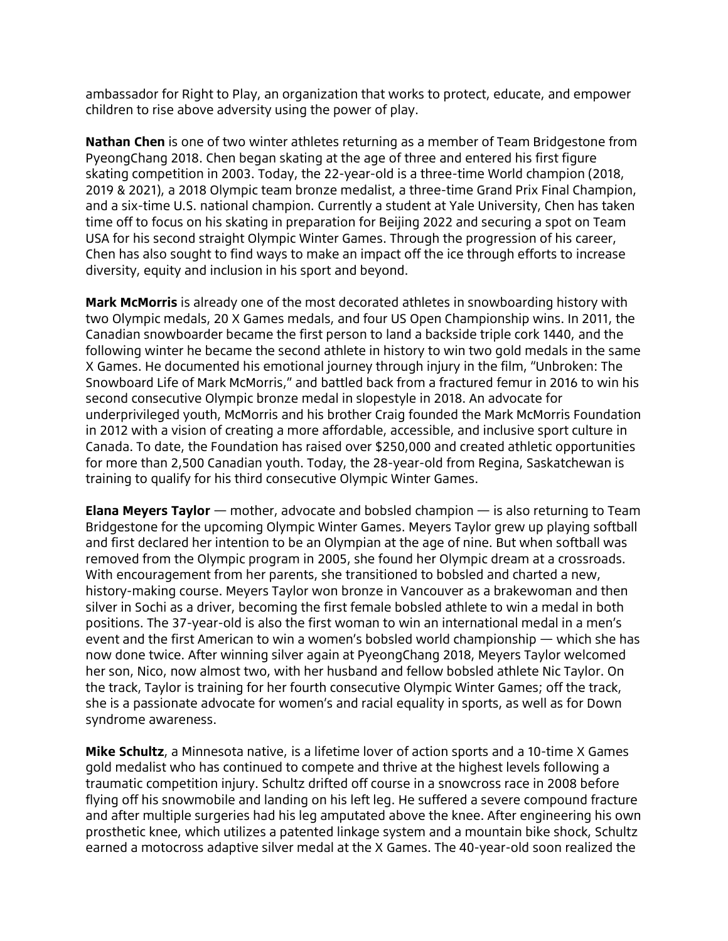ambassador for Right to Play, an organization that works to protect, educate, and empower children to rise above adversity using the power of play.

**Nathan Chen** is one of two winter athletes returning as a member of Team Bridgestone from PyeongChang 2018. Chen began skating at the age of three and entered his first figure skating competition in 2003. Today, the 22-year-old is a three-time World champion (2018, 2019 & 2021), a 2018 Olympic team bronze medalist, a three-time Grand Prix Final Champion, and a six-time U.S. national champion. Currently a student at Yale University, Chen has taken time off to focus on his skating in preparation for Beijing 2022 and securing a spot on Team USA for his second straight Olympic Winter Games. Through the progression of his career, Chen has also sought to find ways to make an impact off the ice through efforts to increase diversity, equity and inclusion in his sport and beyond.

**Mark McMorris** is already one of the most decorated athletes in snowboarding history with two Olympic medals, 20 X Games medals, and four US Open Championship wins. In 2011, the Canadian snowboarder became the first person to land a backside triple cork 1440, and the following winter he became the second athlete in history to win two gold medals in the same X Games. He documented his emotional journey through injury in the film, "Unbroken: The Snowboard Life of Mark McMorris," and battled back from a fractured femur in 2016 to win his second consecutive Olympic bronze medal in slopestyle in 2018. An advocate for underprivileged youth, McMorris and his brother Craig founded the Mark McMorris Foundation in 2012 with a vision of creating a more affordable, accessible, and inclusive sport culture in Canada. To date, the Foundation has raised over \$250,000 and created athletic opportunities for more than 2,500 Canadian youth. Today, the 28-year-old from Regina, Saskatchewan is training to qualify for his third consecutive Olympic Winter Games.

**Elana Meyers Taylor** — mother, advocate and bobsled champion — is also returning to Team Bridgestone for the upcoming Olympic Winter Games. Meyers Taylor grew up playing softball and first declared her intention to be an Olympian at the age of nine. But when softball was removed from the Olympic program in 2005, she found her Olympic dream at a crossroads. With encouragement from her parents, she transitioned to bobsled and charted a new, history-making course. Meyers Taylor won bronze in Vancouver as a brakewoman and then silver in Sochi as a driver, becoming the first female bobsled athlete to win a medal in both positions. The 37-year-old is also the first woman to win an international medal in a men's event and the first American to win a women's bobsled world championship — which she has now done twice. After winning silver again at PyeongChang 2018, Meyers Taylor welcomed her son, Nico, now almost two, with her husband and fellow bobsled athlete Nic Taylor. On the track, Taylor is training for her fourth consecutive Olympic Winter Games; off the track, she is a passionate advocate for women's and racial equality in sports, as well as for Down syndrome awareness.

**Mike Schultz**, a Minnesota native, is a lifetime lover of action sports and a 10-time X Games gold medalist who has continued to compete and thrive at the highest levels following a traumatic competition injury. Schultz drifted off course in a snowcross race in 2008 before flying off his snowmobile and landing on his left leg. He suffered a severe compound fracture and after multiple surgeries had his leg amputated above the knee. After engineering his own prosthetic knee, which utilizes a patented linkage system and a mountain bike shock, Schultz earned a motocross adaptive silver medal at the X Games. The 40-year-old soon realized the